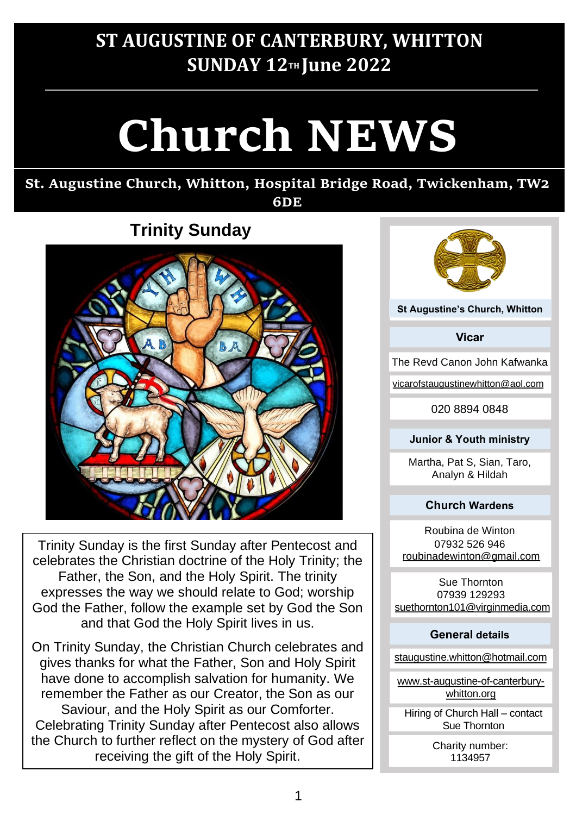# **ST AUGUSTINE OF CANTERBURY, WHITTON SUNDAY 12TH June 2022**

# **Church NEWS**

#### **St. Augustine Church, Whitton, Hospital Bridge Road, Twickenham, TW2 6DE**

# **Trinity Sunday**



Trinity Sunday is the first Sunday after Pentecost and celebrates the Christian doctrine of the Holy Trinity; the Father, the Son, and the Holy Spirit. The trinity expresses the way we should relate to God; worship God the Father, follow the example set by God the Son and that God the Holy Spirit lives in us.

On Trinity Sunday, the Christian Church celebrates and gives thanks for what the Father, Son and Holy Spirit have done to accomplish salvation for humanity. We remember the Father as our Creator, the Son as our Saviour, and the Holy Spirit as our Comforter. Celebrating Trinity Sunday after Pentecost also allows the Church to further reflect on the mystery of God after receiving the gift of the Holy Spirit.



**St Augustine'<sup>s</sup> Church, Whitton**

**Vicar**

The Revd Canon John Kafwanka

vicarofstaugustinewhitton@aol.com

020 8894 0848

#### **Junior & Youth ministry**

Martha, Pat S, Sian, Taro, Analyn & Hildah

#### **Church Wardens**

Roubina de Winton 07932 526 946 roubinadewinton@gmail.com

Sue Thornton 07939 129293 suethornton101@virginmedia.com

#### **General details**

staugustine.whitton@hotmail.com

www.st-augustine-of-canterburywhitton.org

Hiring of Church Hall – contact Sue Thornton

> Charity number: 1134957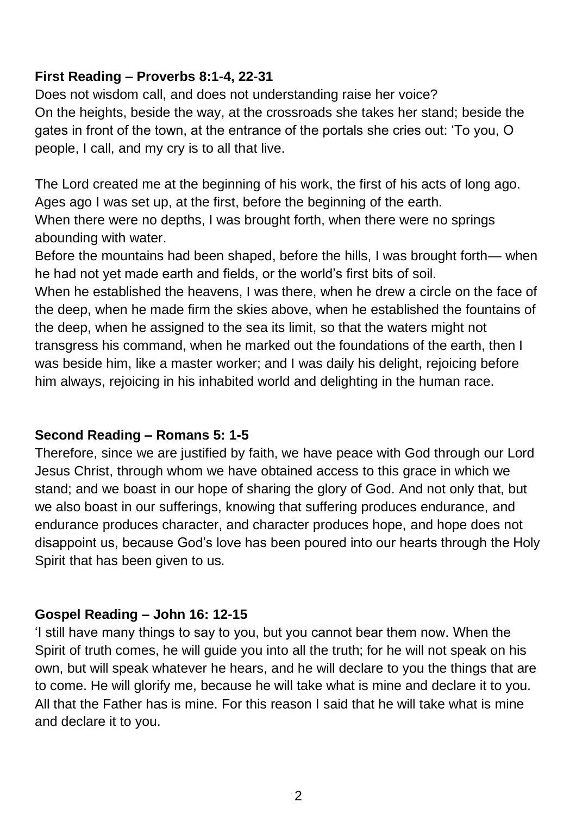### **First Reading – Proverbs 8:1-4, 22-31**

Does not wisdom call, and does not understanding raise her voice? On the heights, beside the way, at the crossroads she takes her stand; beside the gates in front of the town, at the entrance of the portals she cries out: 'To you, O people, I call, and my cry is to all that live.

The Lord created me at the beginning of his work, the first of his acts of long ago. Ages ago I was set up, at the first, before the beginning of the earth. When there were no depths, I was brought forth, when there were no springs abounding with water.

Before the mountains had been shaped, before the hills, I was brought forth— when he had not yet made earth and fields, or the world's first bits of soil.

When he established the heavens, I was there, when he drew a circle on the face of the deep, when he made firm the skies above, when he established the fountains of the deep, when he assigned to the sea its limit, so that the waters might not transgress his command, when he marked out the foundations of the earth, then I was beside him, like a master worker; and I was daily his delight, rejoicing before him always, rejoicing in his inhabited world and delighting in the human race.

### **Second Reading – Romans 5: 1-5**

Therefore, since we are justified by faith, we have peace with God through our Lord Jesus Christ, through whom we have obtained access to this grace in which we stand; and we boast in our hope of sharing the glory of God. And not only that, but we also boast in our sufferings, knowing that suffering produces endurance, and endurance produces character, and character produces hope, and hope does not disappoint us, because God's love has been poured into our hearts through the Holy Spirit that has been given to us.

### **Gospel Reading – John 16: 12-15**

'I still have many things to say to you, but you cannot bear them now. When the Spirit of truth comes, he will guide you into all the truth; for he will not speak on his own, but will speak whatever he hears, and he will declare to you the things that are to come. He will glorify me, because he will take what is mine and declare it to you. All that the Father has is mine. For this reason I said that he will take what is mine and declare it to you.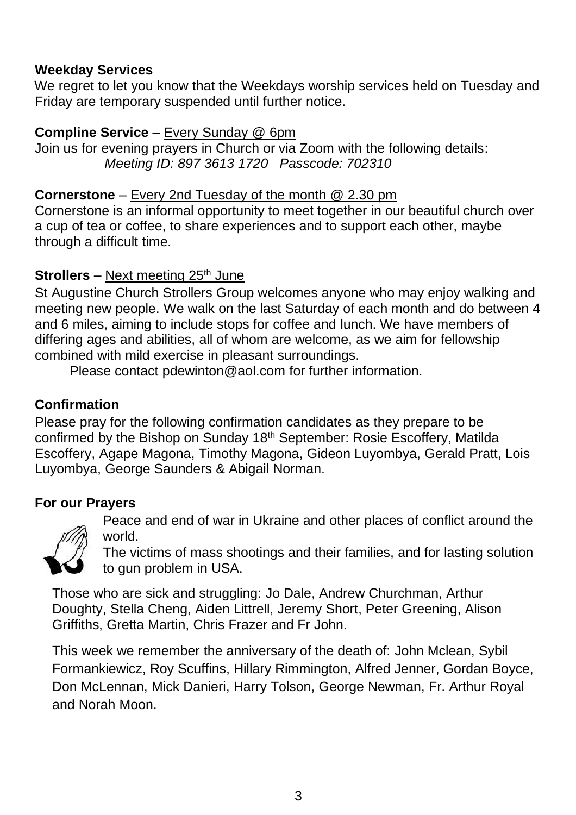#### **Weekday Services**

We regret to let you know that the Weekdays worship services held on Tuesday and Friday are temporary suspended until further notice.

#### **Compline Service** – Every Sunday @ 6pm

Join us for evening prayers in Church or via Zoom with the following details: *Meeting ID: 897 3613 1720 Passcode: 702310*

#### **Cornerstone** – Every 2nd Tuesday of the month @ 2.30 pm

Cornerstone is an informal opportunity to meet together in our beautiful church over a cup of tea or coffee, to share experiences and to support each other, maybe through a difficult time.

### **Strollers –** Next meeting 25<sup>th</sup> June

St Augustine Church Strollers Group welcomes anyone who may enjoy walking and meeting new people. We walk on the last Saturday of each month and do between 4 and 6 miles, aiming to include stops for coffee and lunch. We have members of differing ages and abilities, all of whom are welcome, as we aim for fellowship combined with mild exercise in pleasant surroundings.

Please contact [pdewinton@aol.com](mailto:pdewinton@aol.com) for further information.

## **Confirmation**

Please pray for the following confirmation candidates as they prepare to be confirmed by the Bishop on Sunday 18th September: Rosie Escoffery, Matilda Escoffery, Agape Magona, Timothy Magona, Gideon Luyombya, Gerald Pratt, Lois Luyombya, George Saunders & Abigail Norman.

### **For our Prayers**



Peace and end of war in Ukraine and other places of conflict around the world.

The victims of mass shootings and their families, and for lasting solution to gun problem in USA.

Those who are sick and struggling: Jo Dale, Andrew Churchman, Arthur Doughty, Stella Cheng, Aiden Littrell, Jeremy Short, Peter Greening, Alison Griffiths, Gretta Martin, Chris Frazer and Fr John.

This week we remember the anniversary of the death of: John Mclean, Sybil Formankiewicz, Roy Scuffins, Hillary Rimmington, Alfred Jenner, Gordan Boyce, Don McLennan, Mick Danieri, Harry Tolson, George Newman, Fr. Arthur Royal and Norah Moon.